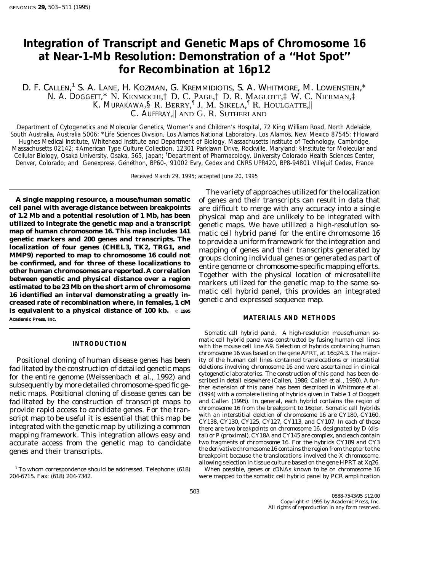# **Integration of Transcript and Genetic Maps of Chromosome 16 at Near-1-Mb Resolution: Demonstration of a ''Hot Spot'' for Recombination at 16p12**

# D. F. Callen,<sup>1</sup> S. A. Lane, H. Kozman, G. Kremmidiotis, S. A. Whitmore, M. Lowenstein,\* N. A. DOGGETT,\* N. KENMOCHI,† D. C. PAGE,† D. R. MAGLOTT,‡ W. C. NIERMAN,‡ K. MURAKAWA, § R. BERRY, <sup>¶</sup> J. M. SIKELA, <sup>¶</sup> R. HOULGATTE, C. AUFFRAY, AND G. R. SUTHERLAND

*Department of Cytogenetics and Molecular Genetics, Women's and Children's Hospital, 72 King William Road, North Adelaide, South Australia, Australia 5006;* \**Life Sciences Division, Los Alamos National Laboratory, Los Alamos, New Mexico 87545;* †*Howard Hughes Medical Institute, Whitehead Institute and Department of Biology, Massachusetts Institute of Technology, Cambridge, Massachusetts 02142;* ‡*American Type Culture Collection, 12301 Parklawn Drive, Rockville, Maryland;* §*Institute for Molecular and* Cellular Biology, Osaka University, Osaka, 565, Japan; <sup>1</sup>Department of Pharmacology, University Colorado Health Sciences Center, *Denver, Colorado; and* \*Genexpress, Ge´ne´thon, BP60-, 91002 Evry, Cedex and CNRS UPR420, BP8-94801 Villejuif Cedex, France*

Received March 29, 1995; accepted June 20, 1995

**cell panel with average distance between breakpoints** are difficult to merge with any accuracy into a single of 1.2 Mb and a potential resolution of 1 Mb, has been<br>
utilized to integrate the genetic map and a transcript<br>
map of human chromosome 16. This map includes 141<br>
genetic maps. We have utilized a high-resolution so-<br>
map o **is equivalent to a physical distance of 100 kb.**  $\circ$  1995 **Academic Press, Inc. MATERIALS AND METHODS**

facilitated by the construction of detailed genetic maps<br>for the entire genome (Weissenbach *et al.*, 1992) and<br>subsequently by more detailed chromosome-specific ge-<br>subsequently by more detailed chromosome-specific ge-<br>su netic maps. Positional cloning of disease genes can be (1994) with a complete listing of hybrids given in Table 1 of Doggett facilitated by the construction of transcript maps to and Callen (1995). In general, each hybrid contains the region of provide ranid access to candidate genes. For the transcription of the breakpoint to 16qter. Somatic ce provide rapid access to candidate genes. For the tran-<br>script map to be useful it is essential that this map be<br>integrated with the genetic map by utilizing a common<br>there are two breakpoints on chromosome 16, designated b mapping framework. This integration allows easy and tal) or P (proximal). CY18A and CY145 are complex, and each contain accurate access from the genetic map to candidate two fragments of chromosome 16. For the hybrids CY189 and CY3<br>the derivative chromosome 16 contains the region from the pter to the

 $1$  To whom correspondence should be addressed. Telephone: (618) When possible, genes or cDNAs known to be on chromosome 16

The variety of approaches utilized for the localization **A single mapping resource, a mouse/human somatic** of genes and their transcripts can result in data that

*Somatic cell hybrid panel.* A high-resolution mouse/human so-**INTRODUCTION** matic cell hybrid panel was constructed by fusing human cell lines with the mouse cell line A9. Selection of hybrids containing human chromosome 16 was based on the gene APRT, at 16q24.3. The major-Positional cloning of human disease genes has been ity of the human cell lines contained translocations or interstitial<br>cilitated by the construction of detailed genetic mans deletions involving chromosome 16 and were asce genes and their transcripts. The state of the derivative chromosome 16 contains the region from the pter to the<br>breakpoint because the translocations involved the X chromosome, allowing selection in tissue culture based on the gene HPRT at Xq26.

204-6715. Fax: (618) 204-7342. were mapped to the somatic cell hybrid panel by PCR amplification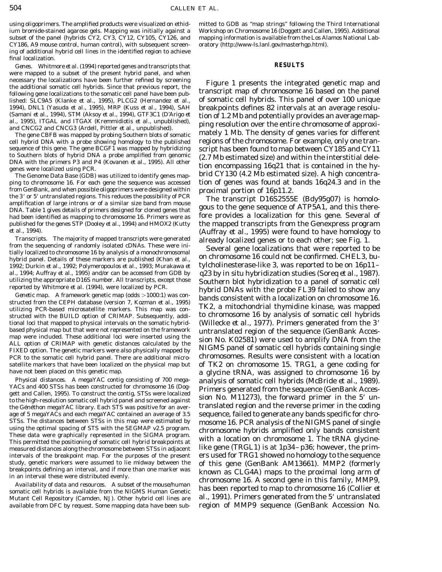ium bromide-stained agarose gels. Mapping was initially against a Workshop on Chromosome 16 (Doggett and Callen, 1995). Additional subset of the panel (hybrids CY2, CY3, CY12, CY105, CY126, and mapping information is available from the Los Alamos National Lab-CY186, A9 mouse control, human control), with subsequent screen- oratory (http://www-ls.lanl.gov/masterhgp.html). ing of additional hybrid cell lines in the identified region to achieve final localization.

*Genes.* Whitmore *et al.* (1994) reported genes and transcripts that **RESULTS** were mapped to a subset of the present hybrid panel, and when necessary the localizations have been further refined by screening<br>the additional somatic cell hybrids. Since that previous report, the<br>following gene localizations to the somatic cell panel have been pub-<br>lished: SLC9A5 ( lished: SLC9A5 (Klanke et al., 1995), PLCG2 (Hernandez et al.,

from GenBank, and when possible oligoprimers were designed within<br>the 3' or 5' untranslated regions. This reduces the possibility of PCR<br>amplification of large introns or of a similar size band from mouse<br>DNA. Table 1 give

Transcripts. The majority of mapped transcripts were generated<br>from the sequencing of randomly isolated cDNAs. These were initially localized genes or to each other; see Fig. 1.<br>ially localized to chromosome 16 by analysi

utilizing PCR-based microsatellite markers. This map was con-<br>structed with the BUILD option of CRIMAP. Subsequently, addi-<br>to chromosome 16 by analysis of somatic cell hybrids tional loci that mapped to physical intervals on the somatic hybrid-<br>based physical map but that were not represented on the framework<br>untranslated region of the sequence (GenBank Accesbased physical map but that were not represented on the framework<br>map were included. These additional loci were inserted using the<br>ALL option of CRIMAP with genetic distances calculated by the<br>FIXED option. The genetic mar PCR to the somatic cell hybrid panel. There are additional microsatellite markers that have been localized on the physical map but of TK2 on chromosome 15. TRG1, a gene coding for

the Genethon megaYAC library. Each STS was positive for an avertranslated region and the reverse primer in the coding age of 5 megaYACs and each megaYAC contained an average of 3.5 sequence, failed to generate any bands specific for chro-STSs. The distances between STSs in this map were estimated by<br>using the optimal spacing of STS with the SEGMAP v2.5 program.<br>These data were graphically represented in the SIGMA program.<br>This permitted the positioning of measured distances along the chromosome between STSs in adjacent like gene (TRGL1) is at 1p34–p36; however, the primintervals of the breakpoint map. For the purposes of the present ers used for TRG1 showed no homology to the sequence

available from DFC by request. Some mapping data have been sub- region of MMP9 sequence (GenBank Accession No.

using oligoprimers. The amplified products were visualized on ethid- mitted to GDB as ''map strings'' following the Third International

1994), DNL1 (Yasuda *et al.,* 1995), MRP (Kuss *et al.,* 1994), SAH breakpoints defines 82 intervals at an average resolu- (Samani *et al.*, 1994), STM (Aksoy *et al.*, 1994), GTF3C1 (D'Arigo *et* tion of 1.2 Mb and potentially provides an average map-<br>*al.*, 1995), ITGAL and ITGAX (Kremmidiotis *et al.*, unpublished), ping resolution over th The gene CBFB was mapped by probing Southern blots of somatic mately 1 Mb. The density of genes varies for different cell hybrid DNA with a probe showing homology to the published regions of the chromosome. For example, only one transequence of this gene. The gene BCGF1 was mapped by hybridizing script has been found to map between CY185 and CY11<br>to Southern blots of hybrid DNA a probe amplified from genomic (2.7 Mb estimated size) and within the inte The Genome Data Base (GDB) was utilized to identify genes map- brid CY130 (4.2 Mb estimated size). A high concentraping to chromosome 16. For each gene the sequence was accessed tion of genes was found at bands 16q24.3 and in the

had been identified as mapping to chromosome 16. Primers were as fore provides a localization for this gene. Several of published for the genes STP (Dooley *et al.,* 1994) and HMOX2 (Kutty the mapped transcripts from the Genexpress program *et al.,* 1994).<br>*Transcripts.* The majority of mapped transcripts were generated already localized genes or to each other: see Fig. 1

1992; Durkin *et al.,* 1992; Polymeropoulos *et al.,* 1993; Murakawa *et* tylcholinesterase-like 3, was reported to be on 16p11– *al.,* 1994; Auffray *et al.,* 1995) and/or can be accessed from GDB by q23 by *in situ* hybridization studies (Soreq *et al.,* 1987). utilizing the appropriate D16S number. All transcripts, except those southern blot hybridization to a panel of somatic cell<br>reported by Whitmore *et al.* (1994), were localized by PCR.<br>*Genetic map.* A framework genetic ma have not been placed on this genetic map. <br> **a** glycine tRNA, was assigned to chromosome 16 by *Physical distances.* A megaYAC contig consisting of 700 mega-<br>YACs and 400 STSs has been constructed for chromosome 16 (Dog-<br>gett and Callen, 1995). To construct the contig, STSs were localized<br>to the high-resolution soma study, genetic markers were assumed to lie midway between the of this gene (GenBank AM13661). MMP2 (formerly<br>breakpoints defining an interval, and if more than one marker was<br>in an interval these were distributed evenly.<br>A somatic cell hybrids is available from the NIGMS Human Genetic<br>Mutant Cell Repository (Camden, NJ). Other hybrid cell lines are *al.*, 1991). Primers generated from the 5' untranslated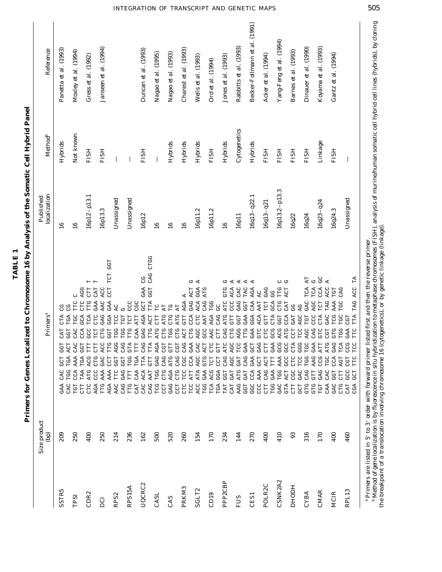Primers for Genes Localized to Chromosome 16 by Analysis of the Somatic Cell Hybrid Panel Primers for Genes Localized to Chromosome 16 by Analysis of the Somatic Cell Hybrid Panel

|                     | Size product<br>ep | Primers <sup>a</sup>                                                                                                                                                                                               | localization<br>Published | <b>Method</b> <sup>b</sup> | Reference                     |
|---------------------|--------------------|--------------------------------------------------------------------------------------------------------------------------------------------------------------------------------------------------------------------|---------------------------|----------------------------|-------------------------------|
| <b>SSTR5</b>        | 209                | უ<br>ს<br>CTA<br>CAT<br>.<br>სე<br><b>UCL</b><br>CAC<br><b>AAE</b>                                                                                                                                                 | $\frac{6}{1}$             | Hybrids                    | Panetta et al. (1993)         |
| TPSI                | 250                | Ü<br>TTC<br>C<br>C<br>TGC<br>TGA<br><b>GGT</b><br>CAC<br>ACT<br>CAC<br>TGA<br>AAA<br><b>TGG</b><br>CCA<br>CAC<br><b>TGT</b>                                                                                        | $\frac{6}{1}$             | Not known                  | Moxley et al. (1994)          |
| CDR <sub>2</sub>    | 400                | н<br>CTT<br>AGG<br>TTG<br>CH <sub>0</sub><br>TCA<br>GCA<br>CCA<br>CO<br>CO<br>Ë<br>59<br>ACG<br>TGA<br><b>TAA</b><br>ATG<br>CTC<br>1                                                                               | $16p12-p13.1$             | <b>FISH</b>                | Cress et al. (1992)           |
| DCI                 | 250                | Н<br>CAT<br>ACC<br>AAC<br>GAA<br>GAG<br><b>CHO</b><br><b>CHO</b><br>TCT<br>ACC<br>E<br>GAC<br>CTG<br>CCC<br>AAA<br>AGA<br>TTG                                                                                      | 16p13.3                   | <b>FISH</b>                | Janseen et al. (1994)         |
| RPS <sub>2</sub>    | 214                | <b>GGT</b><br>TCT<br>CCT<br>GAA<br>AC<br>GGA<br>TCC<br>595<br><b>TGG</b><br><b>PLG</b><br>AGG<br>CCT<br>595<br><b>TTC</b><br>AAA<br>AAC<br>AGA                                                                     | Unassigned                |                            |                               |
| RPS15A              | 236                | C <sub>C</sub><br>Ü<br><b>TOT</b><br><b>TOT</b><br>CAA<br>TTG<br>TGG<br>CAG<br>GTA<br>E<br><b>GGT</b><br>TGG<br>FTT<br>GAG<br>CAG<br>CAT<br><b>PLLC</b>                                                            | Unassigned                |                            |                               |
| UQCRC2              | 162                | CTGG<br>CAG<br>CO<br>C<br><b>GGT</b><br>GAA<br><b>GCT</b><br>TTA<br><b>CCC</b><br>ATT<br>AGA<br>ACT<br>GAG<br><b>PTG</b><br>CAG<br>TТP<br>GTT<br>TGA<br>TTA<br>CAA<br><b>AAT</b><br>ACA<br>CAC<br>CAG              | 16p12                     | <b>FISH</b>                | Duncan et al. (1993)          |
| CA5L                | 500                | $\Gamma\text{C}$<br>$\mathbb A\mathbb T$<br><b>ATG</b><br><b>CTT</b><br>ATG<br>CTG<br>AGA<br>5D<br>C<br>GAG<br>CAG<br>TGG<br>CTG<br>TCG<br>CCT                                                                     | $\overline{16}$           |                            | Nagao et al. (1995)           |
| CA5                 | 520                | <b>C</b><br>CTG<br>TGG<br>E<br>ATG<br>AGA<br>GAG                                                                                                                                                                   | $\frac{6}{16}$            | Hybrids                    | Nagao et al. (1993)           |
| PRKM <sub>3</sub>   | 260                | AGA<br>AT<br>ATG<br><b>GTT</b><br>CTG<br>ACT<br>CGT<br>CAG<br>CAG<br>CGCA<br>CCA<br>TCC<br>ATT<br>CTG<br>CCT<br>CTC                                                                                                | $\frac{6}{1}$             | $Hybrids$                  | Charest et al. (1993)         |
| SGLT2               | 154                | ひ<br>ACT<br>GGA<br>ATG<br>CAG<br>GAG<br>ACA<br><b>AAT</b><br>CCA<br>CTC<br><b>GCC</b><br>CTG<br>AGC<br>GAZ<br>CAC<br>ACT<br><b>GTG</b><br><b>AGC</b><br><b>ATA</b><br>GAA<br>TCC<br>ACC<br>TGG                     | 16p11.2                   | Hybrids                    | Wells et al. (1993)           |
| CD19                | 170                | <b>COLL</b><br>AGA<br>AAC<br>CTC<br>TCT<br><b>ACG</b><br>TCA                                                                                                                                                       | 16p11.2                   | <b>FISH</b>                | Ord et al. (1994)             |
| PPP2CBP             | 234                | Ч<br>ひ<br><b>ACA</b><br>GTG<br>ATC<br>CCC<br>ყ<br>ს<br>ATG<br>CAG<br><b>TTD</b><br>CAG<br>CTG<br>ELI<br>ELP<br>O<br><b>ATC</b><br>AGC<br>CCT<br>AGC<br>CAG<br>GGA<br><b>GAT</b><br><b>GGT</b><br>TGA<br>TAT<br>CAT | $\frac{6}{1}$             | Hybrids                    | Jones et al. (1993)           |
| FUS                 | 144                | Ą<br>$\Delta^{\!\!\!c}_i$<br>CAC<br>TAC<br>GAG<br><b>GGT</b><br><b>GGT</b><br>GAA<br>AGG<br><b>TTG</b><br>TCC<br>GAZ<br>GAT<br>CAG<br>ATG<br>GAT<br>AAG<br>GGT                                                     | 16p11                     | Cytogenetics               | Rabbitts et al. (1993)        |
| CES1                | 270                | AGA<br>AC<br>CAA<br><b>AAT</b><br>ACA<br>GGA<br><b>GTC</b><br>GAA<br>GAG<br>5U<br>GAA<br>GCT<br>AAA<br>CCA<br>GGC<br>CCC                                                                                           | $16q13 - q22.1$           | Hybrids                    | Becker-Follmann et al. (1991) |
| POLR <sub>2</sub> C | 400                | GAG<br><b>TCT</b><br>E<br>U<br>CHO<br>E<br>ACT<br>CAG<br><b>CTT</b>                                                                                                                                                | $16q13 - q21$             | <b>FISH</b>                | Acker et al. (1994)           |
| CSNK2A2             | 410                | O<br><b>TTG</b><br>უ<br>თ<br>GCA<br>CTG<br>CTA<br><b>GGT</b><br><b>CCC</b><br><b>ACG</b><br>შე<br>მ<br>GAZ<br>$\overline{\Gamma}$<br>AAA<br>GAA<br>TGG<br>GAC<br>TGG                                               | $16p13.2-p13.3$           | <b>HSLE</b>                | Yang-Feng et al. (1994)       |
| <b>HODH</b>         | 3                  | ひ<br>ACT<br>CAT<br>უ<br>ს<br>CCA<br><b>GAT</b><br>ATG<br><b>CCT</b><br><b>CCC</b><br>CTA<br><b>CCC</b><br>$\rm CTC$<br>ACT<br>CGC<br>GTA<br>CTT                                                                    | 16q22                     | <b>FISH</b>                | Barnes et al. (1993)          |
| <b>CYBA</b>         | 316                | AT<br>TCA<br>GAC<br>AG<br>AGC<br>TGT<br>AGC<br>TCC<br><b>GGG</b><br><b>TGC</b><br>TGG<br>TCC<br>CAG<br>GAC<br>GTG<br>5DD                                                                                           | 16q24                     | <b>FISH</b>                | Dinauer et al. (1990)         |
| <b>CMAR</b>         | 170                | 9<br>U<br>TCA<br>CCA<br>AGC<br>TCT<br>CCC<br>CTA<br>CAG<br>GTC<br>GAA<br>ATI<br><b>CCG</b><br>AAG<br>GTT<br>GAG<br>GTG<br><b>TGT</b>                                                                               | $16q23 - q24$             | Linkage                    | Koyama et al. (1993)          |
| <b>MCIR</b>         | 400                | $\overline{A}$<br>ACC<br>TOT<br>TAG<br>AAA<br>TCG<br>GAC<br>GTG<br>CGT<br>GAG<br><b>ATG</b><br>TGC<br>CCA<br>CAC<br><b>GGT</b><br>GAC<br>CAA                                                                       | 16q24.3                   | <b>FISH</b>                | Gantz et al. (1994)           |
| RPL13               | 460                | ACC TA<br>CAG<br>TAG<br><b>TGC</b><br>TTA<br>TGC<br><b>TPD</b><br>TTC<br>TGG<br>GAA<br>TCZ<br><b>CCC</b><br>PCC<br>AGT<br>$_{\mathrm{CT}}^{\mathrm{CGT}}$<br>CTT<br><b>CCL</b><br>CCL<br>CTG<br>CAT<br>CGA         | Unassigned                |                            |                               |

# <sup>a</sup> Primers are listed in 5′ to 3′ order with forward primer listed first and then the reverse primer.<br><sup>h</sup> Method of gene localization is by fluorescence in situ hybridization to metaphase chromosomes (FISH), analysis of m

<sup>a</sup> Primers are listed in 5′ to 3′ order with forward primer listed first and then the reverse primer.<br><sup>h</sup> Method of gene localization is by fluorescence in situ hybridization to metaphase chromosomes (FISH), analysis of m the breakpoint of a translocation involving chromosome 16 (cytogenetics), or by genetic linkage (linkage).

# INTEGRATION OF TRANSCRIPT AND GENETIC MAPS 505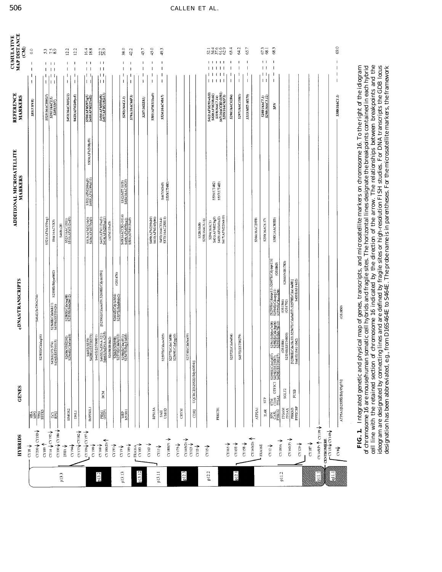| $CY190 \sqrt{CY186}$<br><b>AssiZO</b> A002AD<br>$CY14 \sqrt{CY192}$<br>C(189)<br>CY18                                                                                                                                                                                                                               |                                                                                                                             |                                                                                                                               |                                                                                                                                                                                                                                                                                          |                                                        |                                     |                 |                                                                                                  |                                                 | $\mathbf{S}$                          |
|---------------------------------------------------------------------------------------------------------------------------------------------------------------------------------------------------------------------------------------------------------------------------------------------------------------------|-----------------------------------------------------------------------------------------------------------------------------|-------------------------------------------------------------------------------------------------------------------------------|------------------------------------------------------------------------------------------------------------------------------------------------------------------------------------------------------------------------------------------------------------------------------------------|--------------------------------------------------------|-------------------------------------|-----------------|--------------------------------------------------------------------------------------------------|-------------------------------------------------|---------------------------------------|
|                                                                                                                                                                                                                                                                                                                     | HBA<br>MPC                                                                                                                  |                                                                                                                               | S464E(ScDNA254)                                                                                                                                                                                                                                                                          |                                                        |                                     |                 | <b>S85(3'HVR)</b>                                                                                |                                                 | $\overline{0}$ .                      |
|                                                                                                                                                                                                                                                                                                                     | ES                                                                                                                          | IE(Cdalag06)<br>\$258                                                                                                         |                                                                                                                                                                                                                                                                                          |                                                        |                                     |                 |                                                                                                  |                                                 |                                       |
|                                                                                                                                                                                                                                                                                                                     |                                                                                                                             |                                                                                                                               |                                                                                                                                                                                                                                                                                          | S521(AFMa139wg)                                        |                                     |                 | S525(16AC308G7)                                                                                  | $1 \quad 11$                                    | 5.789<br>7.89                         |
|                                                                                                                                                                                                                                                                                                                     | DÉS<br>Réf                                                                                                                  | 373/374)<br>ST01015)<br><b>S426EC</b><br>S436ECE                                                                              | S2558E(Bdya4b02)<br>S2568E(Cda0nh11)<br>\$439E(EST00426)                                                                                                                                                                                                                                 | S94(16ACVK5)                                           |                                     |                 | $\frac{3291(164C2.5)}{5283(5M7)}$                                                                | $\perp$                                         |                                       |
| $_{23\mathrm{HA}}$ $\downarrow$                                                                                                                                                                                                                                                                                     |                                                                                                                             |                                                                                                                               |                                                                                                                                                                                                                                                                                          | S468(c28)                                              |                                     |                 |                                                                                                  |                                                 |                                       |
|                                                                                                                                                                                                                                                                                                                     | HMOX2                                                                                                                       | 56(NIB2292)<br>4E(Cda0ca10)<br>S265<br>S2564                                                                                  | S2385E(Cda1eg08)<br>S2335E(Bda26612)                                                                                                                                                                                                                                                     | S523(16AC13H1)<br>S510(AFM312vd5)                      |                                     |                 | S453(16AC301G12)                                                                                 | $\mathbf{L}$                                    | 12.2                                  |
| <b>ABILA CARY</b><br>CY194V                                                                                                                                                                                                                                                                                         | DNLI                                                                                                                        |                                                                                                                               |                                                                                                                                                                                                                                                                                          |                                                        |                                     |                 | S423(AFM249yc5)                                                                                  | $\blacksquare$<br>$\overline{1}$                | 12.2                                  |
| $CY196V$ $CY197V$                                                                                                                                                                                                                                                                                                   | IMPDHLI                                                                                                                     | S43E(EST00373)<br>S42BE(EST00373)                                                                                             |                                                                                                                                                                                                                                                                                          | S513(AFM321th5)<br>S406(AFM079yh3)                     | S502(AFM266xg9)<br>S495(AFM199zb10) | S509(AFM308yf9) | S506(AFM297yg5)<br>S418(AFM225xd2)                                                               | $\mathsf{L}$                                    | $16.4$<br>18.8<br>$\mathbf{1}$        |
| $CY198\sqrt{\ }$                                                                                                                                                                                                                                                                                                    |                                                                                                                             |                                                                                                                               |                                                                                                                                                                                                                                                                                          |                                                        |                                     |                 |                                                                                                  |                                                 |                                       |
| $\frac{1}{2}$ $\frac{1}{2}$ $\frac{1}{2}$ $\frac{1}{2}$ $\frac{1}{2}$ $\frac{1}{2}$ $\frac{1}{2}$ $\frac{1}{2}$ $\frac{1}{2}$ $\frac{1}{2}$ $\frac{1}{2}$ $\frac{1}{2}$ $\frac{1}{2}$ $\frac{1}{2}$ $\frac{1}{2}$ $\frac{1}{2}$ $\frac{1}{2}$ $\frac{1}{2}$ $\frac{1}{2}$ $\frac{1}{2}$ $\frac{1}{2}$ $\frac{1}{2}$ | BCM<br><b>PRMI</b>                                                                                                          | \$442E(EST00831)<br>\$465E(ScDNA-321)<br>\$466E(ScDNA-A235)                                                                   | [S2596E(Cdazrc09),S2608E(Cdyzrc09)]                                                                                                                                                                                                                                                      | \$407(AFM113xe3)<br>\$414(AFM205za11)                  |                                     |                 | S404(AFM056yf6)<br>\$497(AFM218ya11)                                                             | $\mathbf{I}$<br>$\overline{1}$                  | 22,7<br>$\mathbf{1}$                  |
| $CYI9I\psi$                                                                                                                                                                                                                                                                                                         |                                                                                                                             | S2658(IB1842)                                                                                                                 |                                                                                                                                                                                                                                                                                          | (AFM133xf5)                                            |                                     |                 |                                                                                                  |                                                 |                                       |
| <b>∱</b> 61,2                                                                                                                                                                                                                                                                                                       |                                                                                                                             |                                                                                                                               | (051476)<br>82604E(Cdy1eb04)<br>82537E(Bda84do2)                                                                                                                                                                                                                                         |                                                        |                                     |                 |                                                                                                  |                                                 |                                       |
| $CY185\sqrt{\ }$                                                                                                                                                                                                                                                                                                    | <b>NRP</b><br>MYH11                                                                                                         | $\frac{\frac{32662(\text{NIB558})}{32570\, \text{ECdaof}(12)}}{\frac{32586\, \text{ECda1ff111}}{32547\, \text{E(bdy31d05)}}}$ |                                                                                                                                                                                                                                                                                          | 849(16ACCRI-0114)<br>8405(AFM070ya1)<br>850(AFM113xa9) | S312(MIT-1103)<br>S454(16AC45G5)    |                 | S292(16AC2.3)                                                                                    | L                                               | 38.0                                  |
|                                                                                                                                                                                                                                                                                                                     |                                                                                                                             |                                                                                                                               |                                                                                                                                                                                                                                                                                          |                                                        |                                     |                 | S79A(16AC66F3)                                                                                   | $\overline{1}$                                  | 42.2                                  |
| $\begin{array}{l} \mathrm{FA16A} \\ \mathrm{CT183} \end{array}$                                                                                                                                                                                                                                                     |                                                                                                                             |                                                                                                                               |                                                                                                                                                                                                                                                                                          |                                                        |                                     |                 | S287(16XE81)                                                                                     | $\mathbf{I}$<br>$\mathbf{I}$                    | 43.7<br>$\mathbf{I}$                  |
| $\overline{\rm cr}$ i63 $\pmb{\Downarrow}$                                                                                                                                                                                                                                                                          | RPS15A                                                                                                                      |                                                                                                                               |                                                                                                                                                                                                                                                                                          | \$499(AFM259xb9)<br>\$410(AFM165yb6)                   |                                     |                 | $SSO I (AFM I I J x a 9)$                                                                        | $\mathbf I$                                     | 45.0                                  |
| $_{\rm crit}$                                                                                                                                                                                                                                                                                                       | 34H                                                                                                                         | S2597E(Cdazwb05)                                                                                                              |                                                                                                                                                                                                                                                                                          | \$452(16AC33A4)<br>\$370(16AC25H11)                    | S467(MS45)                          |                 | S524(16AC40A7)                                                                                   | $\overline{\phantom{a}}$<br>$\mathbf{I}$        | 49.3                                  |
| →<br>CY180(P)                                                                                                                                                                                                                                                                                                       |                                                                                                                             | S2577E(Cda11d08)<br>S2569E(Cda0pg10)                                                                                          |                                                                                                                                                                                                                                                                                          |                                                        | SS35(UT480)                         |                 |                                                                                                  |                                                 |                                       |
| $CY175\sqrt{ }$                                                                                                                                                                                                                                                                                                     |                                                                                                                             |                                                                                                                               |                                                                                                                                                                                                                                                                                          |                                                        |                                     |                 |                                                                                                  |                                                 |                                       |
|                                                                                                                                                                                                                                                                                                                     | CRYM                                                                                                                        | S2574E(Cda0ua09)                                                                                                              |                                                                                                                                                                                                                                                                                          |                                                        |                                     |                 |                                                                                                  |                                                 |                                       |
| $\overline{\text{C}}$ 1450) $\overline{\downarrow}$                                                                                                                                                                                                                                                                 | UQCRC2(S2552E(Bdy60f04)]<br>CDR2                                                                                            |                                                                                                                               |                                                                                                                                                                                                                                                                                          |                                                        |                                     |                 |                                                                                                  |                                                 |                                       |
| $\alpha$ <sub>13</sub> $\downarrow$                                                                                                                                                                                                                                                                                 |                                                                                                                             |                                                                                                                               |                                                                                                                                                                                                                                                                                          | S293(16AC6.16)<br>S328(SMB)                            |                                     |                 |                                                                                                  |                                                 |                                       |
| $\cos \psi$                                                                                                                                                                                                                                                                                                         |                                                                                                                             |                                                                                                                               |                                                                                                                                                                                                                                                                                          | S294(16ACI)                                            |                                     |                 |                                                                                                  |                                                 |                                       |
|                                                                                                                                                                                                                                                                                                                     |                                                                                                                             |                                                                                                                               |                                                                                                                                                                                                                                                                                          | \$401(AFM025tg9)                                       | S536(UT482)                         |                 |                                                                                                  | 11111                                           |                                       |
|                                                                                                                                                                                                                                                                                                                     | PRKCB:                                                                                                                      |                                                                                                                               |                                                                                                                                                                                                                                                                                          | S403(AFM049xd2)<br>S417(AFM220xb10)                    | SS37(UT483)                         |                 | S412(AFM191wb10)<br>S420(AFM238xb2)<br>S319(I6ACCR1-0391)<br>S67(I6ACCR1-0391)<br>S295(I6AC62F3) | 111                                             | ದ ಸ್ಥೆತಿ<br>ದ ಸದ ಪರಿ<br>$\frac{1}{2}$ |
| $CT165\sqrt{\frac{1}{2}}$                                                                                                                                                                                                                                                                                           |                                                                                                                             | S2572E(Cda0sf04)                                                                                                              |                                                                                                                                                                                                                                                                                          |                                                        |                                     |                 | S296(16AC62B4)                                                                                   | $\overline{\phantom{a}}$                        | 63.4<br>$\mathbf{I}$                  |
| $\frac{1}{2}$ CY 155 $\sqrt{ }$                                                                                                                                                                                                                                                                                     |                                                                                                                             | S437E(EST00279)                                                                                                               |                                                                                                                                                                                                                                                                                          |                                                        |                                     |                 | S297(16AC15H1)                                                                                   |                                                 | 64.2<br>$\mathbf{I}$                  |
| $\frac{1}{2}$ 158 $\sqrt{ }$                                                                                                                                                                                                                                                                                        |                                                                                                                             |                                                                                                                               |                                                                                                                                                                                                                                                                                          |                                                        |                                     |                 | S313(MIT-MS79)                                                                                   | $\overline{\phantom{a}}$                        | 65.7<br>J.                            |
| CY 160(D)                                                                                                                                                                                                                                                                                                           | $ATP2AI$                                                                                                                    |                                                                                                                               |                                                                                                                                                                                                                                                                                          | S366(16AC29F8)                                         |                                     |                 |                                                                                                  |                                                 |                                       |
| FRA16E                                                                                                                                                                                                                                                                                                              | STP<br><b>ILAR</b>                                                                                                          |                                                                                                                               |                                                                                                                                                                                                                                                                                          | S299(16AC6.17)                                         |                                     |                 | S288(16AC7.1)<br>S298(16AC3.12)                                                                  | $\mathbf{L}$<br>$\vert \ \vert$<br>$\mathbf{L}$ | 673<br>68.1<br>1 <sub>1</sub>         |
| $CY12 \nightharpoonup$                                                                                                                                                                                                                                                                                              | SPN STM GTF5C1 \$2590ECC4a1407)<br>CA5L CD19 GTF5C1 \$425ECEST0087)<br>PHKG2 ITGAL \$429ECEST00127)                         | \$2561E(Bdyc7c08)<br>\$2582E(Cda1bg06)<br>\$2553E(Bdy78c12)                                                                   | $[\frac{\text{S2595E}(Gdarge11), \text{S2607E}(Gdyze11)]}{\text{S2594E}(Gdarge11)}\qquad \qquad \text{(GS1865)}\\ \text{S2573E}(Gdarge10)\\ \qquad \qquad \text{(GS1865)}\\$                                                                                                             | S383(16AC80B3)                                         |                                     |                 | SPN                                                                                              |                                                 | 68.3                                  |
| $CY$ 180A                                                                                                                                                                                                                                                                                                           |                                                                                                                             | (0.81084)                                                                                                                     | S2660(NIB1783)<br>(GS1566)<br>(GS1792)                                                                                                                                                                                                                                                   |                                                        |                                     |                 |                                                                                                  |                                                 |                                       |
| CY160(P)                                                                                                                                                                                                                                                                                                            | SGLT2                                                                                                                       | S2534E(EST04850)                                                                                                              |                                                                                                                                                                                                                                                                                          |                                                        |                                     |                 |                                                                                                  |                                                 |                                       |
| $_{\rm C1129}$ $\downarrow$                                                                                                                                                                                                                                                                                         | <b>FUSB</b><br>$\begin{array}{r}\n\text{ITGAN} \\ \text{ITGAN} \\ \text{PRXJ} \\ \text{PRXJ} \\ \text{PPZCBP}\n\end{array}$ |                                                                                                                               | [\$2580E(Cda18e10),\$2567E(Cda0nf07),\$2578E(Cda14a08)]<br>\$441E(1041/1042)                                                                                                                                                                                                             |                                                        |                                     |                 |                                                                                                  |                                                 |                                       |
|                                                                                                                                                                                                                                                                                                                     |                                                                                                                             |                                                                                                                               |                                                                                                                                                                                                                                                                                          |                                                        |                                     |                 |                                                                                                  |                                                 |                                       |
| $CT145(P)$ $\uparrow$ $CT199\downarrow$<br>$C1187\sqrt{ }$                                                                                                                                                                                                                                                          |                                                                                                                             |                                                                                                                               |                                                                                                                                                                                                                                                                                          |                                                        |                                     |                 |                                                                                                  |                                                 |                                       |
| <b>CENTROMERE</b><br>F <sup>CY 151</sup> V CY 149 <sup>V</sup>                                                                                                                                                                                                                                                      |                                                                                                                             |                                                                                                                               |                                                                                                                                                                                                                                                                                          |                                                        |                                     |                 |                                                                                                  |                                                 |                                       |
|                                                                                                                                                                                                                                                                                                                     |                                                                                                                             |                                                                                                                               |                                                                                                                                                                                                                                                                                          |                                                        |                                     |                 |                                                                                                  |                                                 |                                       |
| $\overline{\text{C}^\text{rs}}$                                                                                                                                                                                                                                                                                     | ATPSA1[S2555E(Bdy95g07)]                                                                                                    |                                                                                                                               | (0.51850)                                                                                                                                                                                                                                                                                |                                                        |                                     |                 | S300(16AC1.1)                                                                                    | $\overline{\phantom{a}}$                        | 69.0                                  |
|                                                                                                                                                                                                                                                                                                                     |                                                                                                                             |                                                                                                                               |                                                                                                                                                                                                                                                                                          |                                                        |                                     |                 |                                                                                                  |                                                 |                                       |
| FIG. 1.                                                                                                                                                                                                                                                                                                             |                                                                                                                             |                                                                                                                               | Integrated genetic and physical map of genes, transcripts, and microsatellite markers on chromosome 16. To the right of the idiogram<br>of chromosome 16 are mouse/human somatic cell hybrids and fragile sites. The horizontal lines designate the breakpoints contained in each hybrid |                                                        |                                     |                 |                                                                                                  |                                                 |                                       |
| ideogram are designated by connecting lines and are defined by fragile sites or high-resolution FISH studies. For DNA transcripts the GDB locus                                                                                                                                                                     |                                                                                                                             |                                                                                                                               | cell line with the retained section of chromosome 16 indicated by the direction of the arrow. The relationships between breakpoints and the                                                                                                                                              |                                                        |                                     |                 |                                                                                                  |                                                 |                                       |

506 CALLEN ET AL.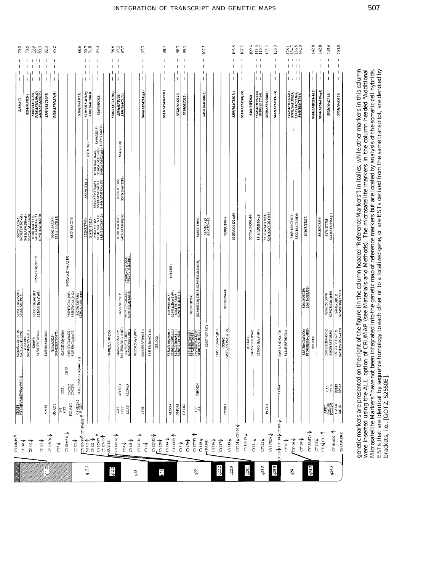| 70.0                                | r.<br>R.                     | 77.9                                                                   | 82.0             | 85.2                            |                  |                                      | 88.6                              | 90.7<br>91.8                                                                                                                                                                                                                                                                                                                                                                                                                                                                                                    | 34.5                                                                                                         |                          |                  | 86<br>857<br>857                                   |                                      |                  | 97.7             |                  |          | 98.7                                                       |                                                                              | 98.7                                                     | 99.7                                                     |                                                          |                                      | 102.3                  |                   |                              | 106.8           | 107.             | 109.4                         | $\frac{113.5}{116.7}$                   | 123.2                                                                | 126.0                                                            |                                    |                | 231850<br>231852                                                       |                                       | 142.8            | 142.8             | 145.6                            | 154.0                                                                                                                |
|-------------------------------------|------------------------------|------------------------------------------------------------------------|------------------|---------------------------------|------------------|--------------------------------------|-----------------------------------|-----------------------------------------------------------------------------------------------------------------------------------------------------------------------------------------------------------------------------------------------------------------------------------------------------------------------------------------------------------------------------------------------------------------------------------------------------------------------------------------------------------------|--------------------------------------------------------------------------------------------------------------|--------------------------|------------------|----------------------------------------------------|--------------------------------------|------------------|------------------|------------------|----------|------------------------------------------------------------|------------------------------------------------------------------------------|----------------------------------------------------------|----------------------------------------------------------|----------------------------------------------------------|--------------------------------------|------------------------|-------------------|------------------------------|-----------------|------------------|-------------------------------|-----------------------------------------|----------------------------------------------------------------------|------------------------------------------------------------------|------------------------------------|----------------|------------------------------------------------------------------------|---------------------------------------|------------------|-------------------|----------------------------------|----------------------------------------------------------------------------------------------------------------------|
| $\mathbf{I}$                        | $\mathbf{I}$                 | 111<br>$\overline{1}$                                                  | 1                | $\overline{\phantom{a}}$        |                  |                                      | $\mathbf{I}$<br>$\mathbf{I}$      | $\mathbf{1}$<br>T<br>$\vert \vert$                                                                                                                                                                                                                                                                                                                                                                                                                                                                              | $\overline{\phantom{a}}$<br>$\overline{\phantom{a}}$<br>$\overline{\phantom{a}}$<br>$\overline{\phantom{a}}$ |                          | $\mathbf{L}$     | $\vert$ $\vert$<br>$\mathbf{I}$<br>$\vert \ \vert$ |                                      |                  | п                |                  |          | $\mathbf{I}$<br>$\overline{\phantom{a}}$<br>$\overline{1}$ |                                                                              | 1<br>I.<br>$\mathbf{I}$                                  | $\mathbf{I}$<br>$\overline{\phantom{a}}$<br>$\mathbf{I}$ |                                                          |                                      | T                      |                   |                              |                 |                  | ı<br>$\overline{\phantom{a}}$ | $\mathbf{1}$<br>$\perp$<br>$\mathbf{L}$ | $\overline{\phantom{a}}$<br>$\mathbf{I}$<br>$\overline{\phantom{a}}$ | J.<br>$\mathbf{I}$<br>J<br>$\begin{array}{c} \hline \end{array}$ |                                    |                | $1 + 1 + 1$<br>1111<br>$1 + 1 +$<br>1111                               |                                       | $\mathbf{I}$     | J.<br>$\mathsf I$ | $\mathbf{I}$                     | $\mathsf I$                                                                                                          |
| S285(AC)                            | S261(MFD24)                  | 5304(16AC1.14)<br>5416(AFM210yg3)<br>5415(AFM205265)                   | S390(16AC10F5)   | S408(AFM137xf8)                 |                  |                                      | S320(16AC8.52)                    | S310(MIT-MH20)<br>S389(16AC10B3)                                                                                                                                                                                                                                                                                                                                                                                                                                                                                |                                                                                                              | S265(MFD23)              | S186(16AC16-101) | $\frac{5398(MFD168)}{5301(164C6.21)}$              |                                      |                  | S496(AFM214zg5)  |                  |          | S512(AFM320wf1)                                            |                                                                              | S522(16AC8.21)                                           | S260(MFD12)                                              |                                                          |                                      | <b>S450(16AC80H3)</b>  |                   |                              | S395(16AC33G1)  | S\$15(AFM340ye5) | S266(MFD62)                   | S504(AFM292xh5)<br>S289(16AC7.46)       | S505(AFM296tb1)                                                      | \$422(AFNI249xc5)                                                |                                    |                | S402(AFM031xa5)<br>S392(I6AC305E9)<br>S449(I6AC51A4)<br>S449(I6AC51A4) |                                       | S498(AMF218yb10) | S504(AFMa135xg5)  | S305(16AC1.15)                   | S303(16AC6.26)                                                                                                       |
|                                     |                              |                                                                        |                  |                                 |                  |                                      |                                   | \$533(c82)                                                                                                                                                                                                                                                                                                                                                                                                                                                                                                      | \$168(16AC16-42)<br>\$514(AFM330vd9)<br>\$400(AFM024xg1)                                                     | 869(MS15)<br>(AFM212wG1) |                  | S545(c178)                                         |                                      |                  |                  |                  |          |                                                            |                                                                              |                                                          |                                                          |                                                          |                                      |                        |                   |                              |                 |                  |                               |                                         |                                                                      |                                                                  |                                    |                |                                                                        |                                       |                  |                   |                                  |                                                                                                                      |
|                                     |                              |                                                                        |                  |                                 |                  |                                      |                                   | <b>SS27(UT481)</b>                                                                                                                                                                                                                                                                                                                                                                                                                                                                                              | 8503(AFM274ya5)<br>8508(AFM304xf1)<br>8494(AFM193xh10)                                                       |                          |                  | S397(MFD98)<br>S347(16AC12F8)                      |                                      |                  |                  |                  |          |                                                            |                                                                              |                                                          |                                                          |                                                          |                                      |                        |                   |                              |                 |                  |                               |                                         |                                                                      |                                                                  |                                    |                |                                                                        |                                       |                  |                   |                                  |                                                                                                                      |
| S302(16AC6.5)<br>S409(AFM161xa1)    |                              | 8411(AFM186xa)<br>8517(AFM132we9)<br>8419(AFM12542)<br>8419(AGAC26E3B) |                  | S306(16ACS.4)<br>S531(16AC8.15) |                  | S317(16AC7.9)                        |                                   | S526(UT746)                                                                                                                                                                                                                                                                                                                                                                                                                                                                                                     | <b>SAB7(UTS221)</b><br>S267(MFD65)<br>S164(16AC(6-15)<br>S451(16AC(69F12)                                    |                          |                  | S318(16AC8.20)<br>\$421(AFM240yb6)                 |                                      |                  |                  |                  |          |                                                            |                                                                              |                                                          |                                                          |                                                          | S485(UT5030)                         | AFM101xe3<br>AFM320wh1 |                   | S538(UT484)                  | S518(AFM132xg9) |                  | S507(AFM301zb9)               | S516(AFM350vd1)                         | SSII(AFMBI2xdI)<br>S40(16ACCRI-015)                                  |                                                                  |                                    | S363(16AC51G1) | \$332(16AC305D6)                                                       | S486(UT5217)                          |                  | S543(X75556)      | \$476(UT703)<br>\$413(AFM196xg1) |                                                                                                                      |
|                                     |                              | S2556E(Bdy97f07)                                                       |                  |                                 |                  | S462E(ScDNA-A319)                    |                                   |                                                                                                                                                                                                                                                                                                                                                                                                                                                                                                                 |                                                                                                              |                          |                  |                                                    | \$2584ECda1cb03<br>\$2540EBdab9d04   |                  |                  |                  |          |                                                            | (651553)                                                                     |                                                          |                                                          |                                                          |                                      |                        |                   |                              |                 |                  |                               |                                         |                                                                      |                                                                  |                                    |                |                                                                        |                                       |                  |                   |                                  |                                                                                                                      |
| S2551E(Bdy55c01)<br>S2661(NIB)932)  |                              | S2:536E(Bda63B12)<br>S2:560E(Bdya7a03)                                 |                  |                                 |                  | S2591E(Cda1je05)<br>S2589E(Cda1jb12) | S427E(755756)<br>S2562E(Cdo01g10) |                                                                                                                                                                                                                                                                                                                                                                                                                                                                                                                 |                                                                                                              |                          |                  | S2655(NIB2033)                                     | S2576E(Cda0wb08)<br>S2603E(Cdv1dd04) |                  |                  |                  |          |                                                            | S2659(IB2025                                                                 | \$2541E/Bdac1b04)<br>\$2647(GS3415)<br>\$2587E(Cda1fg11) |                                                          | S2657(IB727)                                             | [S2606E(Cdy23b05), S2593E(Cda23b05)] |                        |                   | S2650(GS684)                 |                 |                  |                               |                                         |                                                                      |                                                                  |                                    |                |                                                                        | S2644(GS729)<br>S2645(GS1536)         |                  |                   | S2663(NIB609)                    | \$2592E(Cda1je10)<br>\$444E(BBC1)<br>\$2548E(Bdy37e07)                                                               |
| S2600E(Cdy0ze10)<br>S473E(EST01969) | (GS1709)<br>\$463E(ScDNA-E1) | S470E(EST02246)<br>$($ KI0037)                                         | S2539E(Bdab0h04) | (KIAA0025)<br>\$434E(EST00973)  | S2602E(Cdylaf06) | S2566E(Cda0kd02)<br>S2598E(Cdy0cc07) | 44e12)]                           |                                                                                                                                                                                                                                                                                                                                                                                                                                                                                                                 |                                                                                                              |                          | S438E(EST00255)  | S460E(ScDNA-92)<br>S461E(ScDNA-A187)               | S667ECTG-B43)<br>S25S4E/B4v91f03)    | S2605E(Cdy1gf07) | S2533E(EST06651) | S2538E(Bda97h10) | (GS1002) |                                                            | 82544E(Bdy25c01)<br>82563E(Cda01h11)<br>82583E(Cda1ca04)<br>82583E(Cda1ca04) |                                                          |                                                          | \$471E(EST01953)<br>\$472E(EST01954)<br>\$430E(EST00132) |                                      | S2657(NIB727)          | F245SIE(Bdac5g01) | (GS980)<br>S459E(ScDNA-A129) |                 |                  | S435E(EST00978)<br>(051487)   | S2559E(Bdya4d04)                        |                                                                      |                                                                  | S458E(ScDNA-F3)<br>S424E(EST00034) |                |                                                                        | S2575E(Cda0uf06)<br>F200SIE(Bdyc4f09) | (G51516)         |                   | F245SIE(Bda45f05)                | $\frac{8469\textrm{E}(\mathrm{EST100899})}{8532\textrm{E}(\mathrm{EST106702})}$ $8457\textrm{E}(\mathrm{SeDNA-AS5})$ |
| CKBP1<br>PHKB[S2546E9Bdy29b01)]     |                              |                                                                        |                  |                                 | CES1             | <b>CETP</b><br><b>SPS</b><br>CXC     | GOT2[S2550E(Bdy-                  |                                                                                                                                                                                                                                                                                                                                                                                                                                                                                                                 |                                                                                                              |                          |                  | APOEL1                                             | <b>SLC9A5</b>                        |                  |                  |                  |          |                                                            |                                                                              |                                                          |                                                          |                                                          | <b>DHODH</b>                         |                        |                   |                              |                 |                  |                               |                                         |                                                                      |                                                                  | COX4                               |                |                                                                        |                                       |                  |                   |                                  | $rac{35}{350}$                                                                                                       |
|                                     |                              |                                                                        | MMP <sub>2</sub> | GNAO1                           | ĘĒ               | POLRZC                               |                                   | $\begin{array}{c c} \mathcal{M} \text{GUSY} & \mathcal{M} \text{GUSY} \smallsetminus \mathcal{M} \text{GUSY} \smallsetminus \mathcal{M} \text{GUSY} \smallsetminus \mathcal{M} \text{GUSY} \smallsetminus \mathcal{M} \text{GUSY} \smallsetminus \mathcal{M} \text{GUSY} \smallsetminus \mathcal{M} \text{GUSY} \smallsetminus \mathcal{M} \text{GUSY} \smallsetminus \mathcal{M} \text{GUSY} \smallsetminus \mathcal{M} \text{GUSY} \smallsetminus \mathcal{M} \text{GUSY} \smallsetminus \mathcal{M} \text{G$ |                                                                                                              |                          |                  | 37<br>연日                                           | LCAT                                 |                  | $\overline{E}$   |                  |          |                                                            | <b>ALDOA</b>                                                                 | <b>NMORI</b>                                             | CALB <sub>2</sub>                                        |                                                          | 闊                                    |                        |                   | CTRB1                        |                 |                  |                               |                                         | PLCG2                                                                | CY100V CY114VCY108V                                              |                                    |                |                                                                        |                                       |                  |                   |                                  | ART<br><b>BOLLER</b><br>CMAR<br>MCIR                                                                                 |

genetic markers are presented on the right of the figure (in the column headed "Reference Markers") in italics, while other markers in this column<br>were inserted using the ALL option of CRIMAP (see Materials and Methods). T ESTs that are identical by sequence homology to each other or to a localized gene, or are ESTs derived from the same transcript, are denoted by<br>brackets, i.e., [GOT2, S2550E]. genetic markers are presented on the right of the figure (in the column headed "Reference Markers") in italics, while other markers in this column<br>were inserted using the A.L. option of CRI/MAP (see Materials and Methods). Microsatellite Markers" have not been integrated into the genetic map of reference markers but are located by analysis of the somatic cell hybrids. brackets, i.e., [GOT2, S2550E].

# INTEGRATION OF TRANSCRIPT AND GENETIC MAPS 507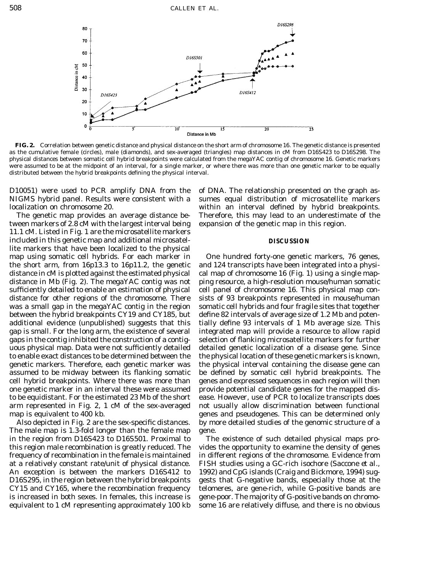

**FIG. 2.** Correlation between genetic distance and physical distance on the short arm of chromosome 16. The genetic distance is presented as the cumulative female (circles), male (diamonds), and sex-averaged (triangles) map distances in cM from D16S423 to D16S298. The physical distances between somatic cell hybrid breakpoints were calculated from the megaYAC contig of chromosome 16. Genetic markers were assumed to be at the midpoint of an interval, for a single marker, or where there was more than one genetic marker to be equally distributed between the hybrid breakpoints defining the physical interval.

D10051) were used to PCR amplify DNA from the of DNA. The relationship presented on the graph as-NIGMS hybrid panel. Results were consistent with a sumes equal distribution of microsatellite markers localization on chromosome 20. within an interval defined by hybrid breakpoints.

tween markers of 2.8 cM with the largest interval being expansion of the genetic map in this region. 11.1 cM. Listed in Fig. 1 are the microsatellite markers included in this genetic map and additional microsatel- **DISCUSSION** lite markers that have been localized to the physical map using somatic cell hybrids. For each marker in One hundred forty-one genetic markers, 76 genes, the short arm, from 16p13.3 to 16p11.2, the genetic and 124 transcripts have been integrated into a physidistance in cM is plotted against the estimated physical cal map of chromosome 16 (Fig. 1) using a single mapdistance in Mb (Fig. 2). The megaYAC contig was not ping resource, a high-resolution mouse/human somatic sufficiently detailed to enable an estimation of physical cell panel of chromosome 16. This physical map condistance for other regions of the chromosome. There sists of 93 breakpoints represented in mouse/human was a small gap in the megaYAC contig in the region somatic cell hybrids and four fragile sites that together between the hybrid breakpoints CY19 and CY185, but define 82 intervals of average size of 1.2 Mb and potenadditional evidence (unpublished) suggests that this tially define 93 intervals of 1 Mb average size. This gap is small. For the long arm, the existence of several integrated map will provide a resource to allow rapid gaps in the contig inhibited the construction of a contig- selection of flanking microsatellite markers for further uous physical map. Data were not sufficiently detailed detailed genetic localization of a disease gene. Since to enable exact distances to be determined between the the physical location of these genetic markers is known, genetic markers. Therefore, each genetic marker was the physical interval containing the disease gene can assumed to be midway between its flanking somatic be defined by somatic cell hybrid breakpoints. The cell hybrid breakpoints. Where there was more than genes and expressed sequences in each region will then one genetic marker in an interval these were assumed provide potential candidate genes for the mapped disto be equidistant. For the estimated 23 Mb of the short ease. However, use of PCR to localize transcripts does arm represented in Fig. 2, 1 cM of the sex-averaged not usually allow discrimination between functional

The male map is 1.3-fold longer than the female map gene. in the region from D16S423 to D16S501. Proximal to The existence of such detailed physical maps proequivalent to 1 cM representing approximately 100 kb some 16 are relatively diffuse, and there is no obvious

The genetic map provides an average distance be- Therefore, this may lead to an underestimate of the

map is equivalent to 400 kb. This can be determined only Also depicted in Fig. 2 are the sex-specific distances. by more detailed studies of the genomic structure of a

this region male recombination is greatly reduced. The vides the opportunity to examine the density of genes frequency of recombination in the female is maintained in different regions of the chromosome. Evidence from at a relatively constant rate/unit of physical distance. FISH studies using a GC-rich isochore (Saccone *et al.,* An exception is between the markers D16S412 to 1992) and CpG islands (Craig and Bickmore, 1994) sug-D16S295, in the region between the hybrid breakpoints gests that G-negative bands, especially those at the CY15 and CY165, where the recombination frequency telomeres, are gene-rich, while G-positive bands are is increased in both sexes. In females, this increase is gene-poor. The majority of G-positive bands on chromo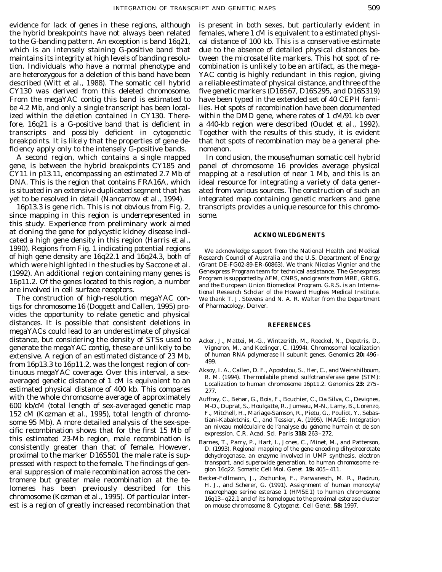ficiency apply only to the intensely G-positive bands. nomenon.

since mapping in this region is underrepresented in some. this study. Experience from preliminary work aimed at cloning the gene for polycystic kidney disease indi- **ACKNOWLEDGMENTS** cated a high gene density in this region (Harris *et al.,* 1990). Regions from Fig. 1 indicating potential regions We acknowledge support from the National Health and Medical of high gene density are 16q22.1 and 16q24.3, both of Research Council of Australia and the U.S. Department of Energy which were highlighted in the studies by Saccone *et al.* (Grant DE-FG02-89-ER-60863). We thank Nicolas Vignier and the (1992) An additional region containing many genes is Genexpress Program team for technical assistance.

tigs for chromosome 16 (Doggett and Callen, 1995) pro- of Pharmacology, Denver. vides the opportunity to relate genetic and physical distances. It is possible that consistent deletions in **REFERENCES** megaYACs could lead to an underestimate of physical distance, but considering the density of STSs used to Acker, J., Mattei, M.-G., Wintzerith, M., Roeckel, N., Depetris, D., generate the megaYAC contig, these are unlikely to be Vigneron, M., and Kedinger, C. (1994). Chromosomal localization<br>extensive A region of an estimated distance of 23 Mb of human RNA polymerase II subunit genes. *Genomics* extensive. A region of an estimated distance of 23 Mb,<br>from 16p13.3 to 16p11.2, was the longest region of con-<br>tinuous megaYAC coverage. Over this interval, a sex-<br>averaged genetic distance of 1 cM is equivalent to an  $\frac{$ averaged genetic distance of 1 cm is equivalent to and Localization to human chromosome 16p11.2. *Genomics* 23: 275–<br>estimated physical distance of 400 kb. This compares 277. with the whole chromosome average of approximately Auffray, C., Behar, G., Bois, F., Bouchier, C., Da Silva, C., Devignes, 600 kb/cM (total length of sex-averaged genetic map M-D., Duprat, S., Houlgatte, R., Jumeau, M-N., Lamy, B., Lorenzo, 152 cM (Kozman *et al.,* 1995), total length of chromo-<br>
F., Mitchell, H., Mariage-Samson, R., Pietu, G., Pouliot, Y., Sebas-<br>
some 95 Mb). A more detailed analysis of the sex spectrum Kabaktchis, C., and Tessier, A. (1995 some 95 Mb). A more detailed analysis of the sex-sperific recombination shows that for the first 15 Mb of<br>this estimated 23-Mb region, male recombination is<br>this estimated 23-Mb region, male recombination is consistently greater than that of female. However, Barnes, T., Parry, P., Hart, I., Jones, C., Minet, M., and Patterson, proximal to the marker D16S501 the male rate is sup- dehydrogenase, an enzyme involved in UMP synthesis, electron pressed with respect to the female. The findings of gen-<br>
eral superoxide generation, to human chromosome re-<br>
gion 16q22. Somatic Cell Mol. Genet. 19: 405-411. eral suppression of male recombination across the cen-<br>tromere but greater male recombination at the te-<br>lomeres has been previously described for this<br>chromosome (Kozman *et al.*, 1995). Of particular inter-<br> $\frac{16q13-q22.$ est is a region of greatly increased recombination that on mouse chromosome 8. *Cytogenet. Cell Genet.* **58:** 1997.

evidence for lack of genes in these regions, although is present in both sexes, but particularly evident in the hybrid breakpoints have not always been related females, where 1 cM is equivalent to a estimated physito the G-banding pattern. An exception is band 16q21, cal distance of 100 kb. This is a conservative estimate which is an intensely staining G-positive band that due to the absence of detailed physical distances bemaintains its integrity at high levels of banding resolu- tween the microsatellite markers. This hot spot of retion. Individuals who have a normal phenotype and combination is unlikely to be an artifact, as the megaare heterozygous for a deletion of this band have been YAC contig is highly redundant in this region, giving described (Witt *et al.,* 1988). The somatic cell hybrid a reliable estimate of physical distance, and three of the CY130 was derived from this deleted chromosome. five genetic markers (D16S67, D16S295, and D16S319) From the megaYAC contig this band is estimated to have been typed in the extended set of 40 CEPH famibe 4.2 Mb, and only a single transcript has been local- lies. Hot spots of recombination have been documented ized within the deletion contained in CY130. There- within the DMD gene, where rates of 1 cM/91 kb over fore, 16q21 is a G-positive band that is deficient in a 440-kb region were described (Oudet *et al.,* 1992). transcripts and possibly deficient in cytogenetic Together with the results of this study, it is evident breakpoints. It is likely that the properties of gene de- that hot spots of recombination may be a general phe-

A second region, which contains a single mapped In conclusion, the mouse/human somatic cell hybrid gene, is between the hybrid breakpoints CY185 and panel of chromosome 16 provides average physical CY11 in p13.11, encompassing an estimated 2.7 Mb of mapping at a resolution of near 1 Mb, and this is an DNA. This is the region that contains FRA16A, which ideal resource for integrating a variety of data generis situated in an extensive duplicated segment that has ated from various sources. The construction of such an yet to be resolved in detail (Nancarrow *et al.,* 1994). integrated map containing genetic markers and gene 16p13.3 is gene rich. This is not obvious from Fig. 2, transcripts provides a unique resource for this chromo-

(1992). An additional region containing many genes is<br>16p11.2. Of the genes located to this region, a number<br>are involved in cell surface receptors.<br>The construction of high-resolution megaYAC con-<br>The construction of high We thank T. J. Stevens and N. A. R. Walter from the Department

- 
- 
- 
- 
-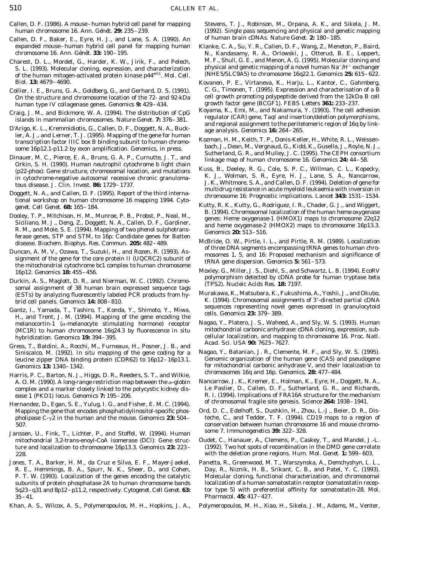- Callen, D. F. (1986). A mouse–human hybrid cell panel for mapping Stevens, T. J., Robinson, M., Orpana, A. K., and Sikela, J. M. human chromosome 16. *Ann. Génét.* **29:** 235–239. (1992). Single pass sequencing and physical and genetic mapping
- Callen, D. F., Baker, E., Eyre, H. J., and Lane, S. A. (1990). An of human brain cDNAs. *Nature Genet.* **2:** 180–185. expanded mouse–human hybrid cell panel for mapping human Klanke, C. A., Su, Y. R., Callen, D. F., Wang, Z., Meneton, P., Baird,
- of the human mitogen-activated protein kinase p44<sup>erk1</sup>. Mol. Cell.
- On the structure and chromosome location of the 72- and 92-kDa cell growth promoting polypeptide derived from the 12kD<br>B cuman type IV collagenase genes. *Genomics* 9: 429–434. growth factor gene (BCGF1). *FEBS Letters* 36
- 
- 
- mauer, M. C., Pierce, E. A., Bruns, G. A. P., Curnutte, J. 1., and<br>
Orkin, S. H. (1990). Human neutrophil cytochrome b light chain<br>
(p22*-phox*): Gene structure, chromosomal location, and mutations<br>
in cytochrome-negative
- Doggett, N. A., and Callen, D. F. (1995). Report of the third international workshop on human chromosome 16 mapping 1994. Cytogenet. Cell Genet. **68:** 165-184.<br>
E. (1995). Report of the third international version of the h
- Dooley, T. P., Mitchison, H. M., Munroe, P. B., Probst, P., Neal, M.,<br>Siciliano, M. J., Deng, Z., Doggett, N. A., Callen, D. F., Gardiner,<br>R. M., and Mole, S. E. (1994). Mapping of two phenol sulphotrans-<br>Ferase genes: Hem
- 
- Durkin, A. S., Maglott, D. R., and Nierman, W. C. (1992). Chromo-<br>somal assignment of 38 human brain expressed sequence tags<br>(ESTs) by analyzing fluorescently labeled PCR products from hy-<br>Murakawa, K., Matsubara, K., Fuku
- melanocortin-1 ( $\alpha$ -melanocyte stimulating hormone) receptor Nagao, Y., Platero, J. S., Waheed, A., and Sly, W. S. (1993). Human (MC1R) to human chromosome 16024.3 by fluorescence in situ mitochondrial carbonic anhydrase (MC1R) to human chromosome 16q24.3 by fluorescence *in situ*
- *Acad. Sci. USA* **90:** 7025–7627.<br> *Acad. Sci. USA* **90:** 7025–7627.<br>
Siniscalco, M. (1992). *In situ* manning of the gene coding for a Nagao, Y., Batanian, J. R., Clemente, M. F., and Sly, W. S. (1995). leucine zipper DNA binding protein (CDR62) to  $16p12-16p13.1$ .
- Harris, P. C., Barton, N. J., Higgs, D. R., Reeders, S. T., and Wilkie,<br>A. O. M. (1990). A long-range restriction map between the  $\alpha$ -globin Nancarrow, J. K., Kremer, E., Holman, K., Eyre, H., Doggett, N. A., complex and a marker closely linked to the polycystic kidney dis-
- of chromosomal fragile site genesis. *Science* **264:** 1938–1941. Hernandez, D., Egan, S. E., Yulug, I. G., and Fisher, E. M. C. (1994). Mapping the gene that encodes phosphatidylinositol-specific phos-
- Janssen, U., Fink, T., Lichter, P., and Stoffel, W. (1994). Human mitochondrial 3,2-*trans*-enoyl-CoA isomerase (DCl): Gene struc- Oudet, C., Hanauer, A., Clemens, P., Caskey, T., and Mandel, J.-L.
- 35–41. *Pharmacol.* **45:** 417–427.
- 

- chromosome 16. *Ann. Génét.* **33:** 190–195. N., Kandasamy, R. A., Orlowski, J., Otterud, B. E., Leppert, Charest, D. L., Mordet, G., Harder, K. W., Jirik, F., and Pelech, M. F., Shull, G. E., and Menon, A. G. (1995). Molecular cloning and physical and genetic mapping of a novel human  $Na^+/H^+$  exchanger S. L. (1993). Molecular cloning, expression, and characterization physical and genetic mapping of a novel human Na<sup>+</sup>/H<sup>+</sup> exchanger of the human mitogen-activated protein kinase n44<sup>crk1</sup> Mol. Cell (NHE5/SLC9A5) to chrom
- *Biol.* **13:** 4679–4690. Kovanen, P. E., Virtaneva, K., Harju, L., Kantor, C., Gahmberg, Collier, I. E., Bruns, G. A., Goldberg, G., and Gerhard, D. S. (1991). C. G., Timonen, T. (1995). Expression and characterisation of a B<br>On the structure and chromosome location of the 72- and 92-kDa cell growth promoting
- human type IV collagenase genes. *Genomics* **9:** 429–434. growth factor gene (BCGF1). *FEBS Letters* **361:** 233–237. Craig, J. M., and Bickmore, W. A. (1994). The distribution of CpG<br>islands in mammalian chromosomes. *Nature Genet.* 7: 376–381.<br>D'Arigo, K. L., Kremmidiotis, G., Callen, D. F., Doggett, N. A., Buck-<br>ler, A. J., and Lerner,
- ler, A. J., and Lerner, T. J. (1995). Mapping of the gene for human<br>transcription factor IIIC box B binding subunit to human chromo-<br>some 16p12.1-p11.2 by exon amplification. *Genomics*, in press.<br>Dinauer, M. C., Pierce, E
	-
	-
- disease. *Biochem. Biophys. Res. Commun.* **205:** 482–489. McBride, O. W., Pirtle, I. L., and Pirtle, R. M. (1989). Localization Duncan, A. M. V., Ozawa, T., Suzuki, H., and Rozen, R. (1993). Assignment of the gene for the
	- 16p12. *Genomics* **18:** 455–456. Moxley, G., Miller, J. S., Diehl, S., and Schwartz, L. B. (1994). *Eco*RV
- brid cell panels. *Genomics* **14:** 808–810. K. (1994). Chromosomal assignments of 3\*-directed partial cDNA Gantz, I., Yamada, T., Tashiro, T., Konda, Y., Shimoto, Y., Miwa,<br>H., and Trent, J. M. (1994). Mapping of the gene encoding the<br>H., and Trent, J. M. (1994). Mapping of the gene encoding the
	- hybridization. *Genomics* **19:** 394–395. cellular localization, and mapping to chromosome 16. *Proc. Natl.*
	- Siniscalco, M. (1992). *In situ* mapping of the gene coding for a Nagao, Y., Batanian, J. R., Clemente, M. F., and Sly, W. S. (1995). leucine zipper DNA binding protein (CDR62) to 16p12–16p13.1. Genomic organization of the *Genomics* **13:** 1340–1342. **for mitochondrial carbonic anhydrase V**, and their localization to **chrome** B C Barton N I Higgs D B Booders S T and Wilkip **chromosomes** 16q and 16p. *Genomics*, **28:** 477–484.
	- A. O. M. (1990). A long-range restriction map between the  $\alpha$ -globin Nancarrow, J. K., Kremer, E., Holman, K., Eyre, H., Doggett, N. A., complex and a marker closely linked to the polycystic kidney dis-<br>Le Paslier, D., Ca ease 1 (PKD1) locus. *Genomics* **7:** 195–206. R. I. (1994). Implications of FRA16A structure for the mechanism
	- pholipase  $C-\gamma$ 2 in the human and the mouse. *Genomics* 23: 504– teche, C., and Tedder, T. F. (1994). CD19 maps to a region of 507.<br>
	507. conservation between human chromosome 16 and mouse chromo-<br>
	507. I Eink T. Lichter P. and Stoffel W. (1994) Human some 7. Immunogenetics **39:** 322–328.
	- ture and localization to chromosome 16p13.3. *Genomics* **23:** 223– (1992). Two hot spots of recombination in the DMD gene correlate 228. with the deletion prone regions. *Hum. Mol. Genet.* **1:** 599–603.
- Jones, T. A., Barker, H. M., da Cruz e Silva, E. F., Mayer-Jaekel, Panetta, R., Greenwood, M. T., Warszynska, A., Demchyshyn, L. L., R. E., Hemmings, B. A., Spurr, N. K., Sheer, D., and Cohen, Day, R., Niznik, H. B., Srikant, C. B., and Patel, Y. C. (1993). P. T. W. (1993). Localization of the genes encoding the catalytic Molecular cloning, functional characterization, and chromosomal subunits of protein phosphatase 2A to human chromosome bands localization of a human somatostatin receptor (somatostatin recep-5q23–q31 and 8p12–p11.2, respectively. *Cytogenet. Cell Genet.* **63:** tor type 5) with preferential affinity for somatostatin-28. *Mol.*
- Khan, A. S., Wilcox, A. S., Polymeropoulos, M. H., Hopkins, J. A., Polymeropoulos, M. H., Xiao, H., Sikela, J. M., Adams, M., Venter,